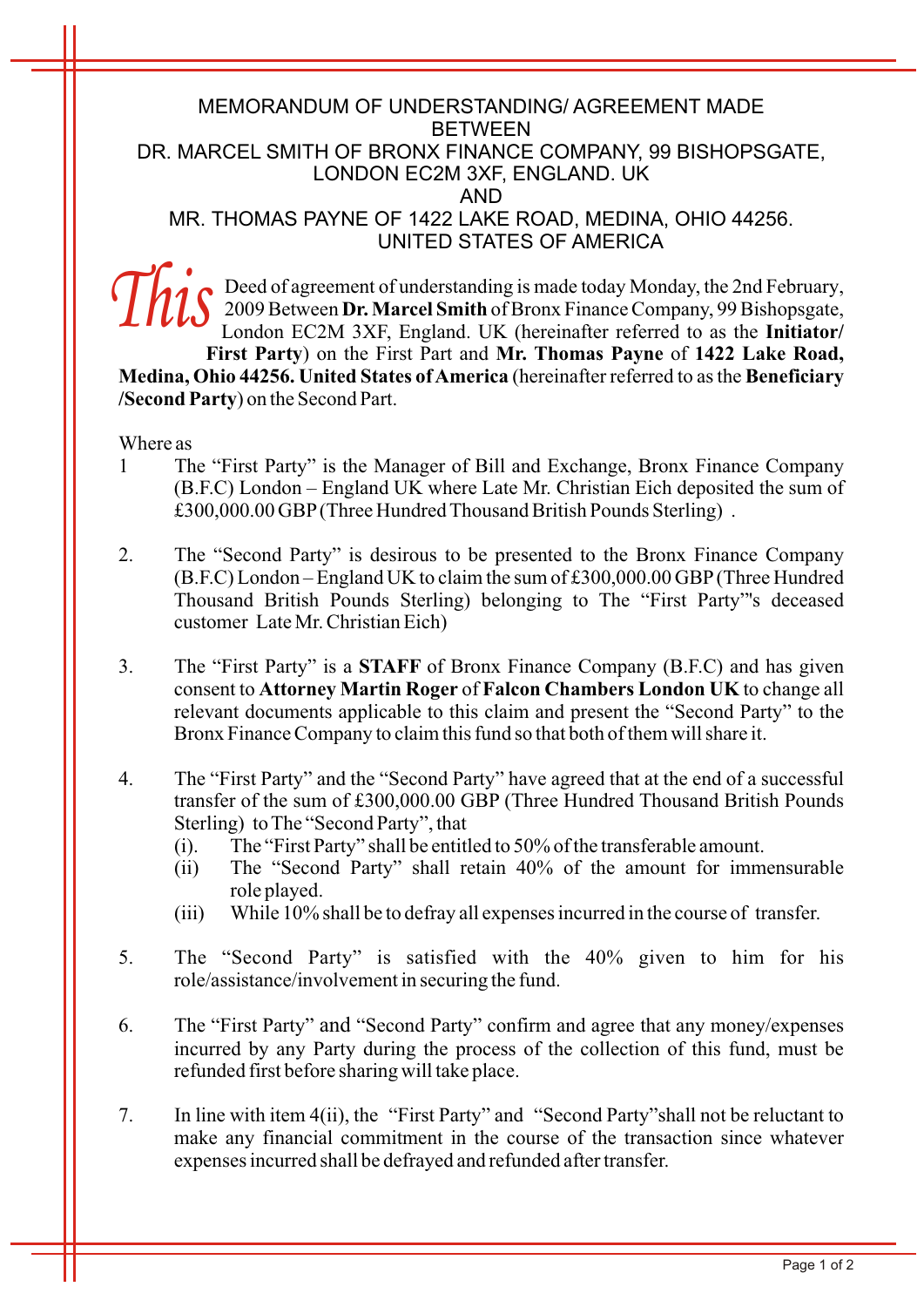## MEMORANDUM OF UNDERSTANDING/ AGREEMENT MADE **BETWEEN** DR. MARCEL SMITH OF BRONX FINANCE COMPANY, 99 BISHOPSGATE, LONDON EC2M 3XF, ENGLAND. UK AND MR. THOMAS PAYNE OF 1422 LAKE ROAD, MEDINA, OHIO 44256. UNITED STATES OF AMERICA

Deed of agreement of understanding is made today Monday, the 2nd February, 2009 Between **Dr. Marcel Smith** of Bronx Finance Company, 99 Bishopsgate, London EC2M 3XF, England. UK (hereinafter referred to as the **Initiator/ First Party**) on the First Part and **Mr. Thomas Payne** of **1422 Lake Road, Medina, Ohio 44256. United States of America** (hereinafter referred to as the **Beneficiary /Second Party**) on the Second Part. *This*

Where as

- 1 The "First Party" is the Manager of Bill and Exchange, Bronx Finance Company (B.F.C) London – England UK where Late Mr. Christian Eich deposited the sum of £300,000.00 GBP(Three Hundred Thousand British Pounds Sterling) .
- 2. The "Second Party" is desirous to be presented to the Bronx Finance Company (B.F.C) London – England UK to claim the sum of £300,000.00 GBP(Three Hundred Thousand British Pounds Sterling) belonging to The "First Party"'s deceased customer Late Mr. Christian Eich)
- 3. The "First Party" is a **STAFF** of Bronx Finance Company (B.F.C) and has given consent to **Attorney Martin Roger** of **Falcon Chambers London UK** to change all relevant documents applicable to this claim and present the "Second Party" to the Bronx Finance Company to claim this fund so that both of them will share it.
- 4. The "First Party" and the "Second Party" have agreed that at the end of a successful transfer of the sum of £300,000.00 GBP (Three Hundred Thousand British Pounds Sterling) to The "Second Party", that
	- (i). The "First Party" shall be entitled to 50% of the transferable amount.
	- (ii) The "Second Party" shall retain 40% of the amount for immensurable role played.
	- (iii) While 10% shall be to defray all expenses incurred in the course of transfer.
- 5. The "Second Party" is satisfied with the 40% given to him for his role/assistance/involvement in securing the fund.
- 6. The "First Party" and "Second Party" confirm and agree that any money/expenses incurred by any Party during the process of the collection of this fund, must be refunded first before sharing will take place.
- 7. In line with item 4(ii), the "First Party" and "Second Party"shall not be reluctant to make any financial commitment in the course of the transaction since whatever expenses incurred shall be defrayed and refunded after transfer.